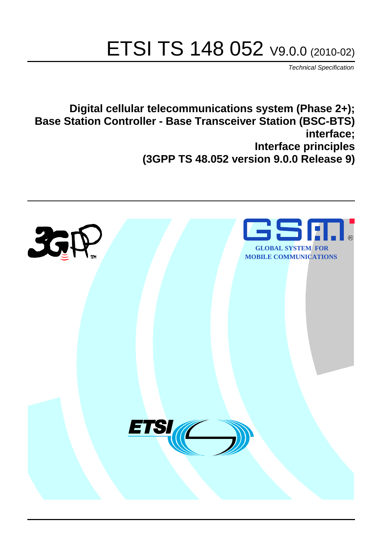# ETSI TS 148 052 V9.0.0 (2010-02)

*Technical Specification*

**Digital cellular telecommunications system (Phase 2+); Base Station Controller - Base Transceiver Station (BSC-BTS) interface; Interface principles (3GPP TS 48.052 version 9.0.0 Release 9)**

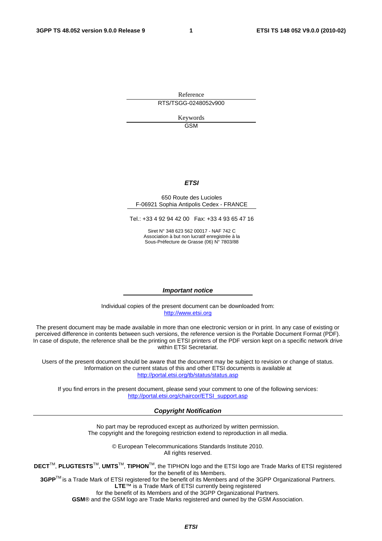Reference RTS/TSGG-0248052v900

> Keywords GSM

#### *ETSI*

#### 650 Route des Lucioles F-06921 Sophia Antipolis Cedex - FRANCE

Tel.: +33 4 92 94 42 00 Fax: +33 4 93 65 47 16

Siret N° 348 623 562 00017 - NAF 742 C Association à but non lucratif enregistrée à la Sous-Préfecture de Grasse (06) N° 7803/88

#### *Important notice*

Individual copies of the present document can be downloaded from: [http://www.etsi.org](http://www.etsi.org/)

The present document may be made available in more than one electronic version or in print. In any case of existing or perceived difference in contents between such versions, the reference version is the Portable Document Format (PDF). In case of dispute, the reference shall be the printing on ETSI printers of the PDF version kept on a specific network drive within ETSI Secretariat.

Users of the present document should be aware that the document may be subject to revision or change of status. Information on the current status of this and other ETSI documents is available at <http://portal.etsi.org/tb/status/status.asp>

If you find errors in the present document, please send your comment to one of the following services: [http://portal.etsi.org/chaircor/ETSI\\_support.asp](http://portal.etsi.org/chaircor/ETSI_support.asp)

#### *Copyright Notification*

No part may be reproduced except as authorized by written permission. The copyright and the foregoing restriction extend to reproduction in all media.

> © European Telecommunications Standards Institute 2010. All rights reserved.

**DECT**TM, **PLUGTESTS**TM, **UMTS**TM, **TIPHON**TM, the TIPHON logo and the ETSI logo are Trade Marks of ETSI registered for the benefit of its Members.

**3GPP**TM is a Trade Mark of ETSI registered for the benefit of its Members and of the 3GPP Organizational Partners. **LTE**™ is a Trade Mark of ETSI currently being registered

for the benefit of its Members and of the 3GPP Organizational Partners.

**GSM**® and the GSM logo are Trade Marks registered and owned by the GSM Association.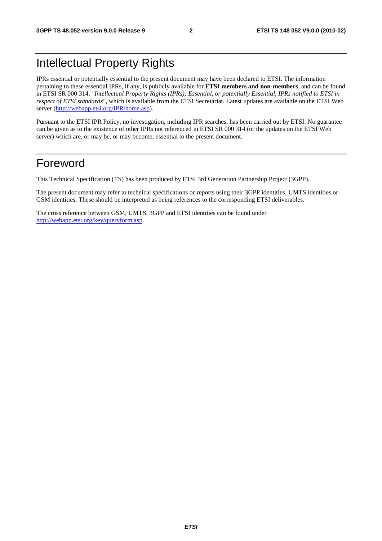### Intellectual Property Rights

IPRs essential or potentially essential to the present document may have been declared to ETSI. The information pertaining to these essential IPRs, if any, is publicly available for **ETSI members and non-members**, and can be found in ETSI SR 000 314: *"Intellectual Property Rights (IPRs); Essential, or potentially Essential, IPRs notified to ETSI in respect of ETSI standards"*, which is available from the ETSI Secretariat. Latest updates are available on the ETSI Web server [\(http://webapp.etsi.org/IPR/home.asp](http://webapp.etsi.org/IPR/home.asp)).

Pursuant to the ETSI IPR Policy, no investigation, including IPR searches, has been carried out by ETSI. No guarantee can be given as to the existence of other IPRs not referenced in ETSI SR 000 314 (or the updates on the ETSI Web server) which are, or may be, or may become, essential to the present document.

### Foreword

This Technical Specification (TS) has been produced by ETSI 3rd Generation Partnership Project (3GPP).

The present document may refer to technical specifications or reports using their 3GPP identities, UMTS identities or GSM identities. These should be interpreted as being references to the corresponding ETSI deliverables.

The cross reference between GSM, UMTS, 3GPP and ETSI identities can be found under [http://webapp.etsi.org/key/queryform.asp.](http://webapp.etsi.org/key/queryform.asp)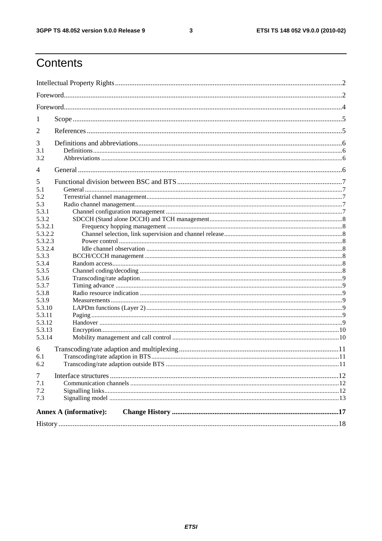$\mathbf{3}$ 

### Contents

|                             | <b>Annex A (informative):</b> |  |  |  |
|-----------------------------|-------------------------------|--|--|--|
| $\tau$<br>7.1<br>7.2<br>7.3 |                               |  |  |  |
| 6<br>6.1<br>6.2             |                               |  |  |  |
| 5.3.14                      |                               |  |  |  |
| 5.3.13                      |                               |  |  |  |
| 5.3.12                      |                               |  |  |  |
| 5.3.11                      |                               |  |  |  |
| 5.3.10                      |                               |  |  |  |
| 5.3.8<br>5.3.9              |                               |  |  |  |
| 5.3.7                       |                               |  |  |  |
| 5.3.6                       |                               |  |  |  |
| 5.3.5                       |                               |  |  |  |
| 5.3.4                       |                               |  |  |  |
| 5.3.3                       |                               |  |  |  |
| 5.3.2.4                     |                               |  |  |  |
| 5.3.2.3                     |                               |  |  |  |
| 5.3.2.2                     |                               |  |  |  |
| 5.3.2.1                     |                               |  |  |  |
| 5.3.1<br>5.3.2              |                               |  |  |  |
| 5.3                         |                               |  |  |  |
| 5.2                         |                               |  |  |  |
| 5.1                         |                               |  |  |  |
| 5                           |                               |  |  |  |
| $\overline{4}$              |                               |  |  |  |
| 3.2                         |                               |  |  |  |
| 3.1                         |                               |  |  |  |
| 3                           |                               |  |  |  |
| 2                           |                               |  |  |  |
| 1                           |                               |  |  |  |
|                             |                               |  |  |  |
|                             |                               |  |  |  |
|                             |                               |  |  |  |
|                             |                               |  |  |  |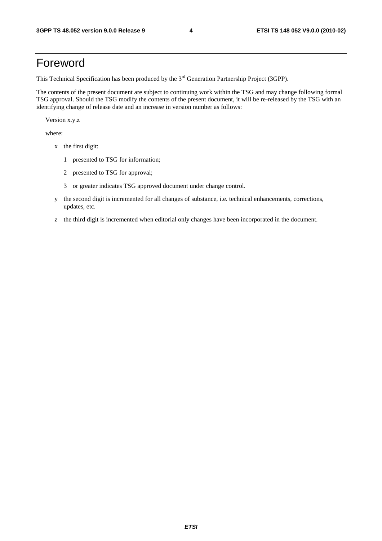### Foreword

This Technical Specification has been produced by the 3<sup>rd</sup> Generation Partnership Project (3GPP).

The contents of the present document are subject to continuing work within the TSG and may change following formal TSG approval. Should the TSG modify the contents of the present document, it will be re-released by the TSG with an identifying change of release date and an increase in version number as follows:

Version x.y.z

where:

- x the first digit:
	- 1 presented to TSG for information;
	- 2 presented to TSG for approval;
	- 3 or greater indicates TSG approved document under change control.
- y the second digit is incremented for all changes of substance, i.e. technical enhancements, corrections, updates, etc.
- z the third digit is incremented when editorial only changes have been incorporated in the document.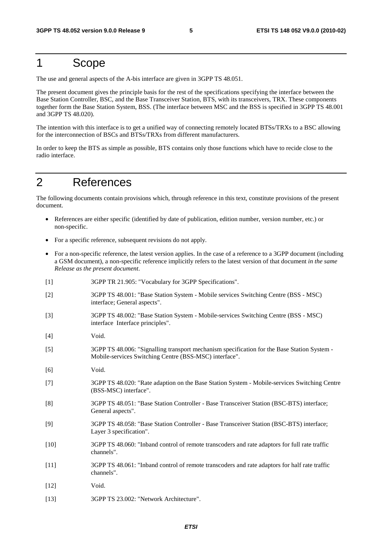### 1 Scope

The use and general aspects of the A-bis interface are given in 3GPP TS 48.051.

The present document gives the principle basis for the rest of the specifications specifying the interface between the Base Station Controller, BSC, and the Base Transceiver Station, BTS, with its transceivers, TRX. These components together form the Base Station System, BSS. (The interface between MSC and the BSS is specified in 3GPP TS 48.001 and 3GPP TS 48.020).

The intention with this interface is to get a unified way of connecting remotely located BTSs/TRXs to a BSC allowing for the interconnection of BSCs and BTSs/TRXs from different manufacturers.

In order to keep the BTS as simple as possible, BTS contains only those functions which have to recide close to the radio interface.

### 2 References

The following documents contain provisions which, through reference in this text, constitute provisions of the present document.

- References are either specific (identified by date of publication, edition number, version number, etc.) or non-specific.
- For a specific reference, subsequent revisions do not apply.
- For a non-specific reference, the latest version applies. In the case of a reference to a 3GPP document (including a GSM document), a non-specific reference implicitly refers to the latest version of that document *in the same Release as the present document*.
- [1] 3GPP TR 21.905: "Vocabulary for 3GPP Specifications".
- [2] 3GPP TS 48.001: "Base Station System Mobile services Switching Centre (BSS MSC) interface; General aspects".
- [3] 3GPP TS 48.002: "Base Station System Mobile-services Switching Centre (BSS MSC) interface Interface principles".
- [4] Void.
- [5] 3GPP TS 48.006: "Signalling transport mechanism specification for the Base Station System Mobile-services Switching Centre (BSS-MSC) interface".
- [6] Void.
- [7] 3GPP TS 48.020: "Rate adaption on the Base Station System Mobile-services Switching Centre (BSS-MSC) interface".
- [8] 3GPP TS 48.051: "Base Station Controller Base Transceiver Station (BSC-BTS) interface; General aspects".
- [9] 3GPP TS 48.058: "Base Station Controller Base Transceiver Station (BSC-BTS) interface; Layer 3 specification".
- [10] 3GPP TS 48.060: "Inband control of remote transcoders and rate adaptors for full rate traffic channels".
- [11] 3GPP TS 48.061: "Inband control of remote transcoders and rate adaptors for half rate traffic channels".
- [12] **Void.**
- [13] 3GPP TS 23.002: "Network Architecture".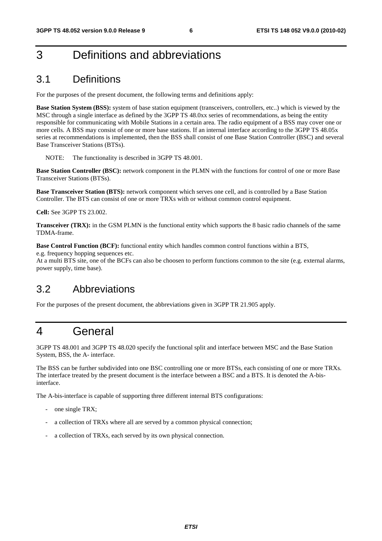### 3 Definitions and abbreviations

### 3.1 Definitions

For the purposes of the present document, the following terms and definitions apply:

**Base Station System (BSS):** system of base station equipment (transceivers, controllers, etc..) which is viewed by the MSC through a single interface as defined by the 3GPP TS 48.0xx series of recommendations, as being the entity responsible for communicating with Mobile Stations in a certain area. The radio equipment of a BSS may cover one or more cells. A BSS may consist of one or more base stations. If an internal interface according to the 3GPP TS 48.05x series at recommendations is implemented, then the BSS shall consist of one Base Station Controller (BSC) and several Base Transceiver Stations (BTSs).

NOTE: The functionality is described in 3GPP TS 48.001.

**Base Station Controller (BSC):** network component in the PLMN with the functions for control of one or more Base Transceiver Stations (BTSs).

**Base Transceiver Station (BTS):** network component which serves one cell, and is controlled by a Base Station Controller. The BTS can consist of one or more TRXs with or without common control equipment.

**Cell:** See 3GPP TS 23.002.

**Transceiver (TRX):** in the GSM PLMN is the functional entity which supports the 8 basic radio channels of the same TDMA-frame.

**Base Control Function (BCF):** functional entity which handles common control functions within a BTS, e.g. frequency hopping sequences etc.

At a multi BTS site, one of the BCFs can also be choosen to perform functions common to the site (e.g. external alarms, power supply, time base).

### 3.2 Abbreviations

For the purposes of the present document, the abbreviations given in 3GPP TR 21.905 apply.

### 4 General

3GPP TS 48.001 and 3GPP TS 48.020 specify the functional split and interface between MSC and the Base Station System, BSS, the A- interface.

The BSS can be further subdivided into one BSC controlling one or more BTSs, each consisting of one or more TRXs. The interface treated by the present document is the interface between a BSC and a BTS. It is denoted the A-bisinterface.

The A-bis-interface is capable of supporting three different internal BTS configurations:

- one single TRX;
- a collection of TRXs where all are served by a common physical connection;
- a collection of TRXs, each served by its own physical connection.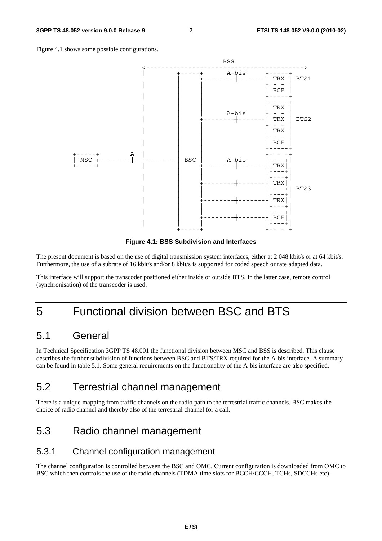



**Figure 4.1: BSS Subdivision and Interfaces** 

The present document is based on the use of digital transmission system interfaces, either at 2 048 kbit/s or at 64 kbit/s. Furthermore, the use of a subrate of 16 kbit/s and/or 8 kbit/s is supported for coded speech or rate adapted data.

This interface will support the transcoder positioned either inside or outside BTS. In the latter case, remote control (synchronisation) of the transcoder is used.

### 5 Functional division between BSC and BTS

#### 5.1 General

In Technical Specification 3GPP TS 48.001 the functional division between MSC and BSS is described. This clause describes the further subdivision of functions between BSC and BTS/TRX required for the A-bis interface. A summary can be found in table 5.1. Some general requirements on the functionality of the A-bis interface are also specified.

### 5.2 Terrestrial channel management

There is a unique mapping from traffic channels on the radio path to the terrestrial traffic channels. BSC makes the choice of radio channel and thereby also of the terrestrial channel for a call.

### 5.3 Radio channel management

#### 5.3.1 Channel configuration management

The channel configuration is controlled between the BSC and OMC. Current configuration is downloaded from OMC to BSC which then controls the use of the radio channels (TDMA time slots for BCCH/CCCH, TCHs, SDCCHs etc).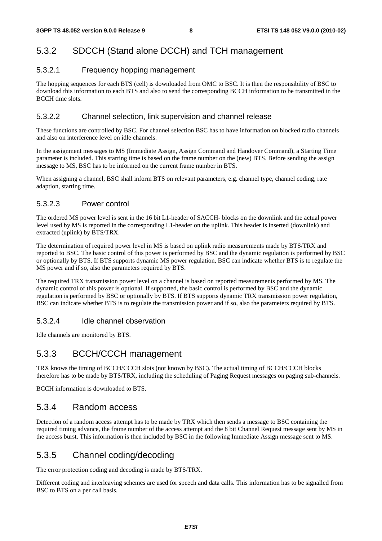#### 5.3.2 SDCCH (Stand alone DCCH) and TCH management

#### 5.3.2.1 Frequency hopping management

The hopping sequences for each BTS (cell) is downloaded from OMC to BSC. It is then the responsibility of BSC to download this information to each BTS and also to send the corresponding BCCH information to be transmitted in the BCCH time slots.

#### 5.3.2.2 Channel selection, link supervision and channel release

These functions are controlled by BSC. For channel selection BSC has to have information on blocked radio channels and also on interference level on idle channels.

In the assignment messages to MS (Immediate Assign, Assign Command and Handover Command), a Starting Time parameter is included. This starting time is based on the frame number on the (new) BTS. Before sending the assign message to MS, BSC has to be informed on the current frame number in BTS.

When assigning a channel, BSC shall inform BTS on relevant parameters, e.g. channel type, channel coding, rate adaption, starting time.

#### 5.3.2.3 Power control

The ordered MS power level is sent in the 16 bit L1-header of SACCH- blocks on the downlink and the actual power level used by MS is reported in the corresponding L1-header on the uplink. This header is inserted (downlink) and extracted (uplink) by BTS/TRX.

The determination of required power level in MS is based on uplink radio measurements made by BTS/TRX and reported to BSC. The basic control of this power is performed by BSC and the dynamic regulation is performed by BSC or optionally by BTS. If BTS supports dynamic MS power regulation, BSC can indicate whether BTS is to regulate the MS power and if so, also the parameters required by BTS.

The required TRX transmission power level on a channel is based on reported measurements performed by MS. The dynamic control of this power is optional. If supported, the basic control is performed by BSC and the dynamic regulation is performed by BSC or optionally by BTS. If BTS supports dynamic TRX transmission power regulation, BSC can indicate whether BTS is to regulate the transmission power and if so, also the parameters required by BTS.

#### 5.3.2.4 Idle channel observation

Idle channels are monitored by BTS.

#### 5.3.3 BCCH/CCCH management

TRX knows the timing of BCCH/CCCH slots (not known by BSC). The actual timing of BCCH/CCCH blocks therefore has to be made by BTS/TRX, including the scheduling of Paging Request messages on paging sub-channels.

BCCH information is downloaded to BTS.

#### 5.3.4 Random access

Detection of a random access attempt has to be made by TRX which then sends a message to BSC containing the required timing advance, the frame number of the access attempt and the 8 bit Channel Request message sent by MS in the access burst. This information is then included by BSC in the following Immediate Assign message sent to MS.

#### 5.3.5 Channel coding/decoding

The error protection coding and decoding is made by BTS/TRX.

Different coding and interleaving schemes are used for speech and data calls. This information has to be signalled from BSC to BTS on a per call basis.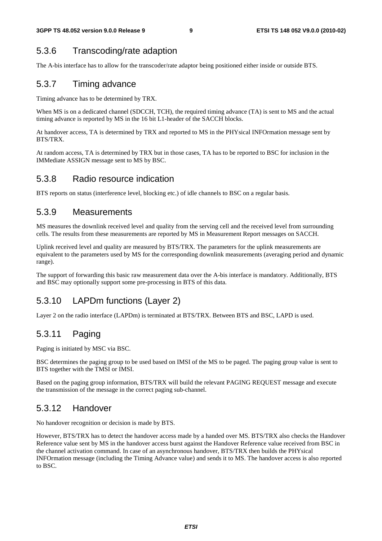#### 5.3.6 Transcoding/rate adaption

The A-bis interface has to allow for the transcoder/rate adaptor being positioned either inside or outside BTS.

#### 5.3.7 Timing advance

Timing advance has to be determined by TRX.

When MS is on a dedicated channel (SDCCH, TCH), the required timing advance (TA) is sent to MS and the actual timing advance is reported by MS in the 16 bit L1-header of the SACCH blocks.

At handover access, TA is determined by TRX and reported to MS in the PHYsical INFOrmation message sent by BTS/TRX.

At random access, TA is determined by TRX but in those cases, TA has to be reported to BSC for inclusion in the IMMediate ASSIGN message sent to MS by BSC.

#### 5.3.8 Radio resource indication

BTS reports on status (interference level, blocking etc.) of idle channels to BSC on a regular basis.

#### 5.3.9 Measurements

MS measures the downlink received level and quality from the serving cell and the received level from surrounding cells. The results from these measurements are reported by MS in Measurement Report messages on SACCH.

Uplink received level and quality are measured by BTS/TRX. The parameters for the uplink measurements are equivalent to the parameters used by MS for the corresponding downlink measurements (averaging period and dynamic range).

The support of forwarding this basic raw measurement data over the A-bis interface is mandatory. Additionally, BTS and BSC may optionally support some pre-processing in BTS of this data.

#### 5.3.10 LAPDm functions (Layer 2)

Layer 2 on the radio interface (LAPDm) is terminated at BTS/TRX. Between BTS and BSC, LAPD is used.

#### 5.3.11 Paging

Paging is initiated by MSC via BSC.

BSC determines the paging group to be used based on IMSI of the MS to be paged. The paging group value is sent to BTS together with the TMSI or IMSI.

Based on the paging group information, BTS/TRX will build the relevant PAGING REQUEST message and execute the transmission of the message in the correct paging sub-channel.

#### 5.3.12 Handover

No handover recognition or decision is made by BTS.

However, BTS/TRX has to detect the handover access made by a handed over MS. BTS/TRX also checks the Handover Reference value sent by MS in the handover access burst against the Handover Reference value received from BSC in the channel activation command. In case of an asynchronous handover, BTS/TRX then builds the PHYsical INFOrmation message (including the Timing Advance value) and sends it to MS. The handover access is also reported to BSC.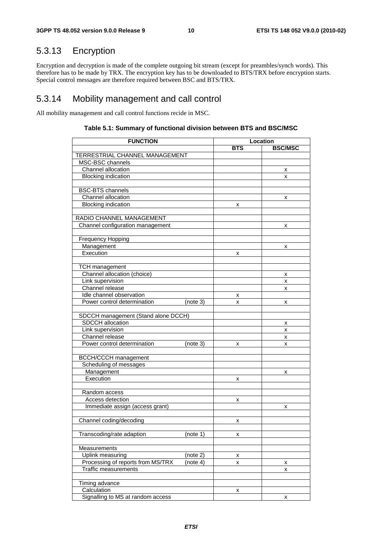### 5.3.13 Encryption

Encryption and decryption is made of the complete outgoing bit stream (except for preambles/synch words). This therefore has to be made by TRX. The encryption key has to be downloaded to BTS/TRX before encryption starts. Special control messages are therefore required between BSC and BTS/TRX.

#### 5.3.14 Mobility management and call control

All mobility management and call control functions recide in MSC.

| <b>FUNCTION</b>                     |          | Location   |                |  |
|-------------------------------------|----------|------------|----------------|--|
|                                     |          | <b>BTS</b> | <b>BSC/MSC</b> |  |
| TERRESTRIAL CHANNEL MANAGEMENT      |          |            |                |  |
| MSC-BSC channels                    |          |            |                |  |
| Channel allocation                  |          |            | х              |  |
| <b>Blocking indication</b>          |          |            | x              |  |
|                                     |          |            |                |  |
| <b>BSC-BTS</b> channels             |          |            |                |  |
| Channel allocation                  |          |            | х              |  |
| <b>Blocking indication</b>          |          | x          |                |  |
|                                     |          |            |                |  |
| RADIO CHANNEL MANAGEMENT            |          |            |                |  |
| Channel configuration management    |          |            | x              |  |
|                                     |          |            |                |  |
| <b>Frequency Hopping</b>            |          |            |                |  |
| Management                          |          |            | x              |  |
| Execution                           |          | x          |                |  |
|                                     |          |            |                |  |
| <b>TCH</b> management               |          |            |                |  |
| Channel allocation (choice)         |          |            | х              |  |
| Link supervision                    |          |            | x              |  |
| Channel release                     |          |            | x              |  |
| Idle channel observation            |          | х          |                |  |
| Power control determination         | (note 3) | x          | x              |  |
|                                     |          |            |                |  |
| SDCCH management (Stand alone DCCH) |          |            |                |  |
| SDCCH allocation                    |          |            | х              |  |
| Link supervision                    |          |            | x              |  |
| Channel release                     |          |            | x              |  |
| Power control determination         | (note 3) | x          | x              |  |
|                                     |          |            |                |  |
| <b>BCCH/CCCH</b> management         |          |            |                |  |
| Scheduling of messages              |          |            |                |  |
| Management                          |          |            | x              |  |
| Execution                           |          | х          |                |  |
|                                     |          |            |                |  |
| Random access                       |          |            |                |  |
| Access detection                    |          | x          |                |  |
| Immediate assign (access grant)     |          |            | x              |  |
|                                     |          |            |                |  |
| Channel coding/decoding             |          | X          |                |  |
|                                     |          |            |                |  |
| Transcoding/rate adaption           | (note 1) | X          |                |  |
|                                     |          |            |                |  |
| Measurements                        |          |            |                |  |
| Uplink measuring                    | (note 2) | x          |                |  |
| Processing of reports from MS/TRX   | (note 4) | x          | х              |  |
| <b>Traffic measurements</b>         |          |            | x              |  |
|                                     |          |            |                |  |
| Timing advance                      |          |            |                |  |
| Calculation                         |          | x          |                |  |
| Signalling to MS at random access   |          |            | x              |  |

#### **Table 5.1: Summary of functional division between BTS and BSC/MSC**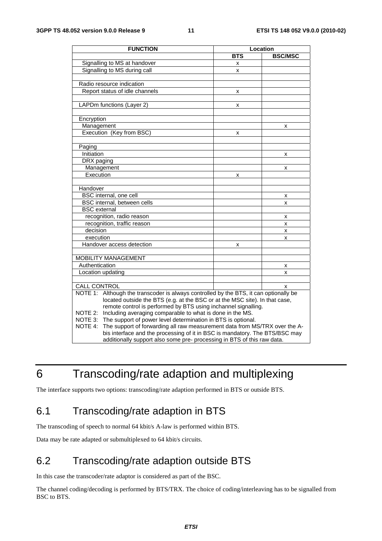| <b>FUNCTION</b>                                                                          | Location   |                |  |
|------------------------------------------------------------------------------------------|------------|----------------|--|
|                                                                                          | <b>BTS</b> | <b>BSC/MSC</b> |  |
| Signalling to MS at handover                                                             | x          |                |  |
| Signalling to MS during call                                                             | x          |                |  |
|                                                                                          |            |                |  |
| Radio resource indication                                                                |            |                |  |
| Report status of idle channels                                                           | х          |                |  |
|                                                                                          |            |                |  |
| LAPDm functions (Layer 2)                                                                | x          |                |  |
|                                                                                          |            |                |  |
| Encryption                                                                               |            |                |  |
| Management                                                                               |            | x              |  |
| Execution (Key from BSC)                                                                 | x          |                |  |
|                                                                                          |            |                |  |
| Paging                                                                                   |            |                |  |
| Initiation                                                                               |            | x              |  |
| DRX paging                                                                               |            |                |  |
| Management                                                                               |            | x              |  |
| Execution                                                                                | x          |                |  |
|                                                                                          |            |                |  |
| Handover                                                                                 |            |                |  |
| BSC internal, one cell                                                                   |            | x              |  |
| BSC internal, between cells                                                              |            | x              |  |
| <b>BSC</b> external                                                                      |            |                |  |
| recognition, radio reason                                                                |            | x              |  |
| recognition, traffic reason                                                              |            | x              |  |
| decision                                                                                 |            | x              |  |
| execution                                                                                |            | x              |  |
| Handover access detection                                                                | x          |                |  |
|                                                                                          |            |                |  |
| MOBILITY MANAGEMENT                                                                      |            |                |  |
| Authentication                                                                           |            | x              |  |
| Location updating                                                                        |            | x              |  |
|                                                                                          |            |                |  |
| CALL CONTROL                                                                             |            | x              |  |
| NOTE 1:<br>Although the transcoder is always controlled by the BTS, it can optionally be |            |                |  |
| located outside the BTS (e.g. at the BSC or at the MSC site). In that case,              |            |                |  |
| remote control is performed by BTS using inchannel signalling.                           |            |                |  |
| Including averaging comparable to what is done in the MS.<br>NOTE 2:                     |            |                |  |
| NOTE 3: The support of power level determination in BTS is optional.                     |            |                |  |
| NOTE 4:<br>The support of forwarding all raw measurement data from MS/TRX over the A-    |            |                |  |
| bis interface and the processing of it in BSC is mandatory. The BTS/BSC may              |            |                |  |
| additionally support also some pre- processing in BTS of this raw data.                  |            |                |  |

### 6 Transcoding/rate adaption and multiplexing

The interface supports two options: transcoding/rate adaption performed in BTS or outside BTS.

### 6.1 Transcoding/rate adaption in BTS

The transcoding of speech to normal 64 kbit/s A-law is performed within BTS.

Data may be rate adapted or submultiplexed to 64 kbit/s circuits.

### 6.2 Transcoding/rate adaption outside BTS

In this case the transcoder/rate adaptor is considered as part of the BSC.

The channel coding/decoding is performed by BTS/TRX. The choice of coding/interleaving has to be signalled from BSC to BTS.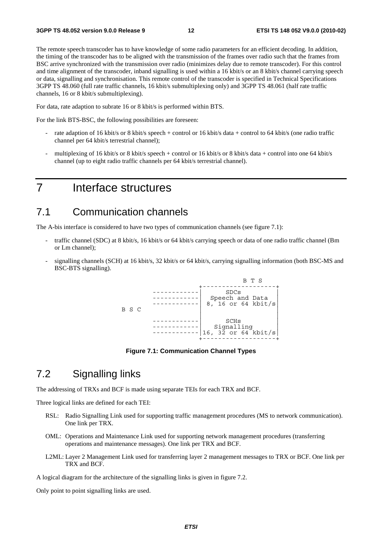The remote speech transcoder has to have knowledge of some radio parameters for an efficient decoding. In addition, the timing of the transcoder has to be aligned with the transmission of the frames over radio such that the frames from BSC arrive synchronized with the transmission over radio (minimizes delay due to remote transcoder). For this control and time alignment of the transcoder, inband signalling is used within a 16 kbit/s or an 8 kbit/s channel carrying speech or data, signalling and synchronisation. This remote control of the transcoder is specified in Technical Specifications 3GPP TS 48.060 (full rate traffic channels, 16 kbit/s submultiplexing only) and 3GPP TS 48.061 (half rate traffic channels, 16 or 8 kbit/s submultiplexing).

For data, rate adaption to subrate 16 or 8 kbit/s is performed within BTS.

For the link BTS-BSC, the following possibilities are foreseen:

- rate adaption of 16 kbit/s or 8 kbit/s speech + control or 16 kbit/s data + control to 64 kbit/s (one radio traffic channel per 64 kbit/s terrestrial channel);
- multiplexing of 16 kbit/s or 8 kbit/s speech + control or 16 kbit/s or 8 kbit/s data + control into one 64 kbit/s channel (up to eight radio traffic channels per 64 kbit/s terrestrial channel).

### 7 Interface structures

#### 7.1 Communication channels

The A-bis interface is considered to have two types of communication channels (see figure 7.1):

- traffic channel (SDC) at 8 kbit/s, 16 kbit/s or 64 kbit/s carrying speech or data of one radio traffic channel (Bm or Lm channel);
- signalling channels (SCH) at 16 kbit/s, 32 kbit/s or 64 kbit/s, carrying signalling information (both BSC-MS and BSC-BTS signalling).



**Figure 7.1: Communication Channel Types** 

#### 7.2 Signalling links

The addressing of TRXs and BCF is made using separate TEIs for each TRX and BCF.

Three logical links are defined for each TEI:

- RSL: Radio Signalling Link used for supporting traffic management procedures (MS to network communication). One link per TRX.
- OML: Operations and Maintenance Link used for supporting network management procedures (transferring operations and maintenance messages). One link per TRX and BCF.
- L2ML: Layer 2 Management Link used for transferring layer 2 management messages to TRX or BCF. One link per TRX and BCF.

A logical diagram for the architecture of the signalling links is given in figure 7.2.

Only point to point signalling links are used.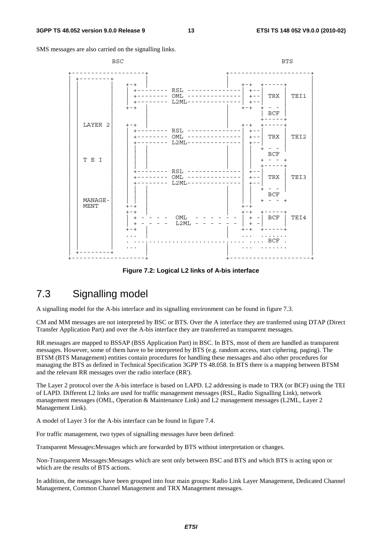SMS messages are also carried on the signalling links.

| <b>BSC</b>             |                                                                                                                        | <b>BTS</b>                                                                                               |
|------------------------|------------------------------------------------------------------------------------------------------------------------|----------------------------------------------------------------------------------------------------------|
|                        | $+ - +$<br>+-------- RSL -------<br>+-------- OML --------------  +-- <br>$L2ML------$<br>$+ - - - - - - - -$<br>$+-+$ | $+ - +$<br>$+ - -$<br>TRX<br>TEI1<br>-----  +--<br>$+ - +$<br>BCF                                        |
| LAYER 2                | $+-+$<br>$RSL$ ------<br>$OML$ --------------<br>$L2ML - -$                                                            | $+ - +$<br>$+--$<br>TRX<br>TEI2<br>$+ - -$<br>$+ - -$                                                    |
| T E I                  | RSL ------<br>$OML$ --------------<br>--------<br>$L2ML-----$                                                          | <b>BCF</b><br>$ -$<br>$+ - - - - \cdot$<br>$+ - -$<br>TRX  <br>TEI3<br>$+ - -$                           |
| MANAGE-<br><b>MENT</b> | $+-+$<br>$+-+$<br>OML<br>$\begin{array}{c} + \end{array}$<br>L2ML<br>- - - - - -<br>$+$<br>$+-+$                       | <b>BCF</b><br>$+ - - +$<br>$+-+$<br>$+ - +$<br>キーーーーーキ<br>BCF<br>TEI4<br>$+ -$<br>$\,$ + $\,$<br>$+ - +$ |
|                        |                                                                                                                        | $\ldots$ BCF                                                                                             |

**Figure 7.2: Logical L2 links of A-bis interface** 

### 7.3 Signalling model

A signalling model for the A-bis interface and its signalling environment can be found in figure 7.3.

CM and MM messages are not interpreted by BSC or BTS. Over the A interface they are tranferred using DTAP (Direct Transfer Application Part) and over the A-bis interface they are transferred as transparent messages.

RR messages are mapped to BSSAP (BSS Application Part) in BSC. In BTS, most of them are handled as transparent messages. However, some of them have to be interpreted by BTS (e.g. random access, start ciphering, paging). The BTSM (BTS Management) entities contain procedures for handling these messages and also other procedures for managing the BTS as defined in Technical Specification 3GPP TS 48.058. In BTS there is a mapping between BTSM and the relevant RR messages over the radio interface (RR').

The Layer 2 protocol over the A-bis interface is based on LAPD. L2 addressing is made to TRX (or BCF) using the TEI of LAPD. Different L2 links are used for traffic management messages (RSL, Radio Signalling Link), network management messages (OML, Operation & Maintenance Link) and L2 management messages (L2ML, Layer 2 Management Link).

A model of Layer 3 for the A-bis interface can be found in figure 7.4.

For traffic management, two types of signalling messages have been defined:

Transparent Messages:Messages which are forwarded by BTS without interpretation or changes.

Non-Transparent Messages:Messages which are sent only between BSC and BTS and which BTS is acting upon or which are the results of BTS actions.

In addition, the messages have been grouped into four main groups: Radio Link Layer Management, Dedicated Channel Management, Common Channel Management and TRX Management messages.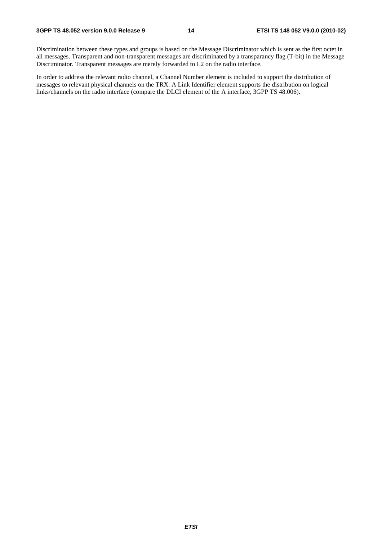Discrimination between these types and groups is based on the Message Discriminator which is sent as the first octet in all messages. Transparent and non-transparent messages are discriminated by a transparancy flag (T-bit) in the Message Discriminator. Transparent messages are merely forwarded to L2 on the radio interface.

In order to address the relevant radio channel, a Channel Number element is included to support the distribution of messages to relevant physical channels on the TRX. A Link Identifier element supports the distribution on logical links/channels on the radio interface (compare the DLCI element of the A interface, 3GPP TS 48.006).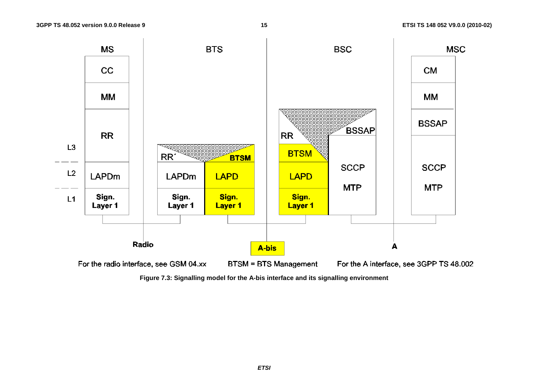

**Figure 7.3: Signalling model for the A-bis interface and its signalling environment**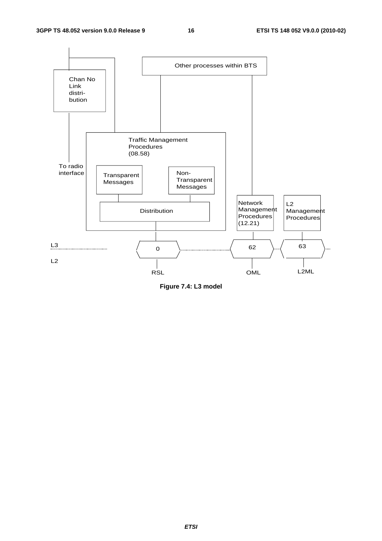

**Figure 7.4: L3 model**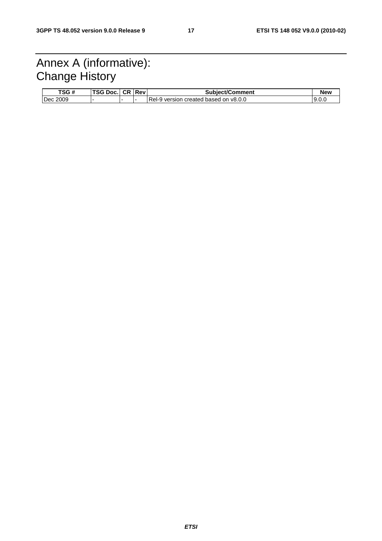### Annex A (informative): Change History

| TSG#        | TSG Doc. | <b>CR Rev</b> | <b>Subject/Comment</b>                | New    |
|-------------|----------|---------------|---------------------------------------|--------|
| 2009<br>Dec |          |               | Rel-9 version created based on v8.0.0 | ∟.99 ا |